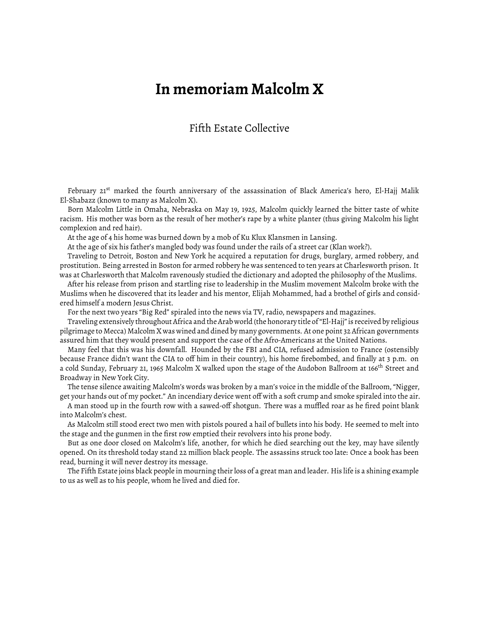## **In memoriam Malcolm X**

## Fifth Estate Collective

February 21<sup>st</sup> marked the fourth anniversary of the assassination of Black America's hero, El-Hajj Malik El-Shabazz (known to many as Malcolm X).

Born Malcolm Little in Omaha, Nebraska on May 19, 1925, Malcolm quickly learned the bitter taste of white racism. His mother was born as the result of her mother's rape by a white planter (thus giving Malcolm his light complexion and red hair).

At the age of 4 his home was burned down by a mob of Ku Klux Klansmen in Lansing.

At the age of six his father's mangled body was found under the rails of a street car (Klan work?).

Traveling to Detroit, Boston and New York he acquired a reputation for drugs, burglary, armed robbery, and prostitution. Being arrested in Boston for armed robbery he was sentenced to ten years at Charlesworth prison. It was at Charlesworth that Malcolm ravenously studied the dictionary and adopted the philosophy of the Muslims.

After his release from prison and startling rise to leadership in the Muslim movement Malcolm broke with the Muslims when he discovered that its leader and his mentor, Elijah Mohammed, had a brothel of girls and considered himself a modern Jesus Christ.

For the next two years "Big Red" spiraled into the news via TV, radio, newspapers and magazines.

Traveling extensively throughout Africa and the Arab world (the honorary title of "El-Hajj" is received by religious pilgrimage to Mecca) Malcolm X was wined and dined by many governments. At one point 32 African governments assured him that they would present and support the case of the Afro-Americans at the United Nations.

Many feel that this was his downfall. Hounded by the FBI and CIA, refused admission to France (ostensibly because France didn't want the CIA to off him in their country), his home firebombed, and finally at 3 p.m. on a cold Sunday, February 21, 1965 Malcolm X walked upon the stage of the Audobon Ballroom at 166<sup>th</sup> Street and Broadway in New York City.

The tense silence awaiting Malcolm's words was broken by a man's voice in the middle of the Ballroom, "Nigger, get your hands out of my pocket." An incendiary device went off with a soft crump and smoke spiraled into the air.

A man stood up in the fourth row with a sawed-off shotgun. There was a muffled roar as he fired point blank into Malcolm's chest.

As Malcolm still stood erect two men with pistols poured a hail of bullets into his body. He seemed to melt into the stage and the gunmen in the first row emptied their revolvers into his prone body.

But as one door closed on Malcolm's life, another, for which he died searching out the key, may have silently opened. On its threshold today stand 22 million black people. The assassins struck too late: Once a book has been read, burning it will never destroy its message.

The Fifth Estate joins black people in mourning their loss of a great man and leader. His life is a shining example to us as well as to his people, whom he lived and died for.